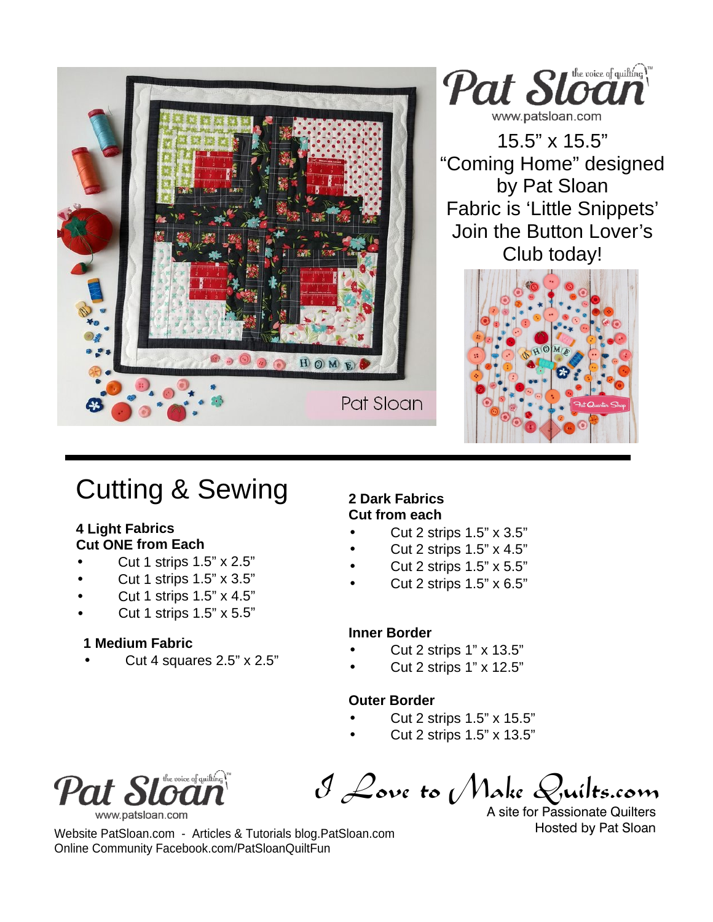

## Cutting & Sewing

#### **4 Light Fabrics Cut ONE from Each**

- Cut 1 strips 1.5" x 2.5"
- Cut 1 strips 1.5" x 3.5"
- Cut 1 strips 1.5" x 4.5"
- Cut 1 strips 1.5" x 5.5"

### **1 Medium Fabric**

Cut 4 squares 2.5" x 2.5"

#### **2 Dark Fabrics Cut from each**

- Cut 2 strips 1.5" x 3.5"
- Cut 2 strips 1.5" x 4.5"
- Cut 2 strips 1.5" x 5.5"
- Cut 2 strips 1.5" x 6.5"

### **Inner Border**

- Cut 2 strips 1" x 13.5"
- Cut 2 strips 1" x 12.5"

### **Outer Border**

- Cut 2 strips 1.5" x 15.5"
	- Cut 2 strips 1.5" x 13.5"



www.patsloan.com

I Love to Make Quilts.com

A site for Passionate Quilters Hosted by Pat Sloan

Website PatSloan.com - Articles & Tutorials blog.PatSloan.com Online Community Facebook.com/PatSloanQuiltFun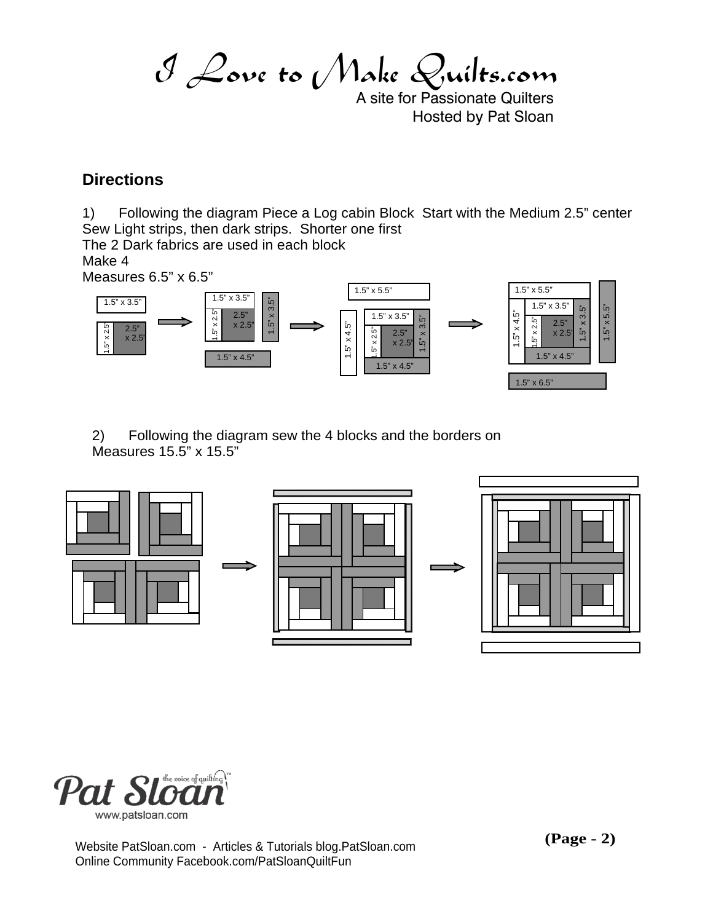I Love to Make Quilts.com

A site for Passionate Quilters Hosted by Pat Sloan

## **Directions**

1) Following the diagram Piece a Log cabin Block Start with the Medium 2.5" center Sew Light strips, then dark strips. Shorter one first The 2 Dark fabrics are used in each block

Make 4

Measures 6.5" x 6.5"



2) Following the diagram sew the 4 blocks and the borders on Measures 15.5" x 15.5"





Website PatSloan.com - Articles & Tutorials blog.PatSloan.com Online Community Facebook.com/PatSloanQuiltFun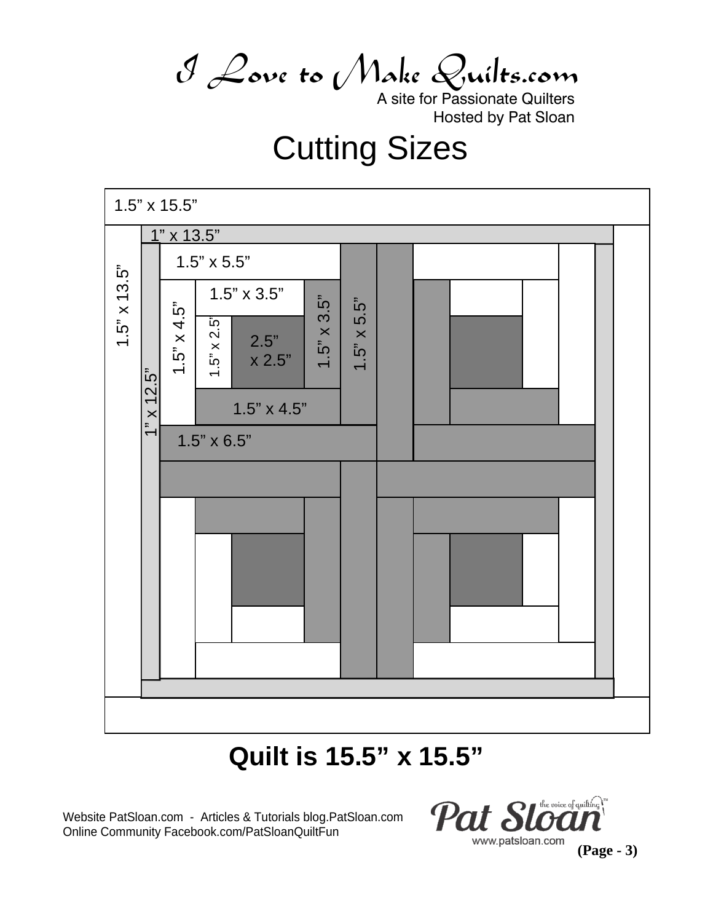I Love to Make Quilts.com

A site for Passionate Quilters Hosted by Pat Sloan

# Cutting Sizes



## **Quilt is 15.5" x 15.5"**

Website PatSloan.com - Articles & Tutorials blog.PatSloan.com Online Community Facebook.com/PatSloanQuiltFun



**(Page - 3)**